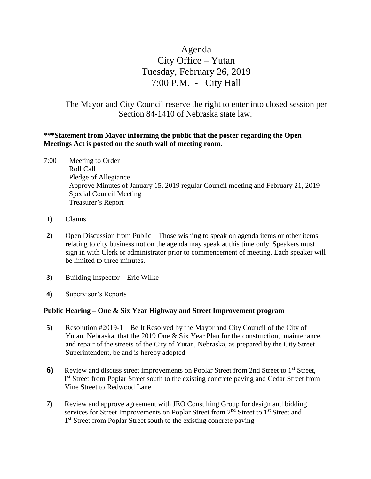# Agenda City Office – Yutan Tuesday, February 26, 2019 7:00 P.M. - City Hall

The Mayor and City Council reserve the right to enter into closed session per Section 84-1410 of Nebraska state law.

## **\*\*\*Statement from Mayor informing the public that the poster regarding the Open Meetings Act is posted on the south wall of meeting room.**

- 7:00 Meeting to Order Roll Call Pledge of Allegiance Approve Minutes of January 15, 2019 regular Council meeting and February 21, 2019 Special Council Meeting Treasurer's Report
- **1)** Claims
- **2)** Open Discussion from Public Those wishing to speak on agenda items or other items relating to city business not on the agenda may speak at this time only. Speakers must sign in with Clerk or administrator prior to commencement of meeting. Each speaker will be limited to three minutes.
- **3)** Building Inspector—Eric Wilke
- **4)** Supervisor's Reports

#### **Public Hearing – One & Six Year Highway and Street Improvement program**

- **5)** Resolution #2019-1 Be It Resolved by the Mayor and City Council of the City of Yutan, Nebraska, that the 2019 One & Six Year Plan for the construction, maintenance, and repair of the streets of the City of Yutan, Nebraska, as prepared by the City Street Superintendent, be and is hereby adopted
- **6)** Review and discuss street improvements on Poplar Street from 2nd Street to 1<sup>st</sup> Street, 1<sup>st</sup> Street from Poplar Street south to the existing concrete paving and Cedar Street from Vine Street to Redwood Lane
- **7)** Review and approve agreement with JEO Consulting Group for design and bidding services for Street Improvements on Poplar Street from 2<sup>nd</sup> Street to 1<sup>st</sup> Street and 1<sup>st</sup> Street from Poplar Street south to the existing concrete paving